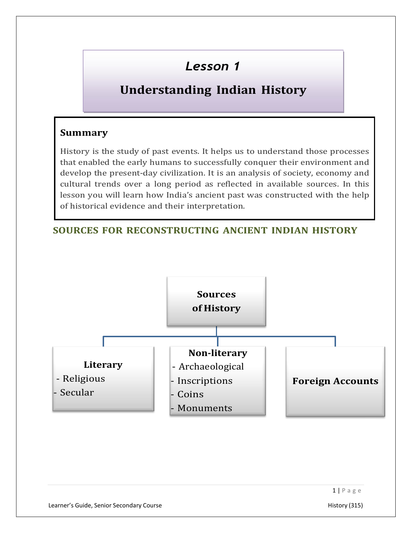# Lesson 1

## Understanding Indian History

#### Summary

History is the study of past events. It helps us to understand those processes that enabled the early humans to successfully conquer their environment and develop the present-day civilization. It is an analysis of society, economy and cultural trends over a long period as reflected in available sources. In this lesson you will learn how India's ancient past was constructed with the help of historical evidence and their interpretation.

### SOURCES FOR RECONSTRUCTING ANCIENT INDIAN HISTORY

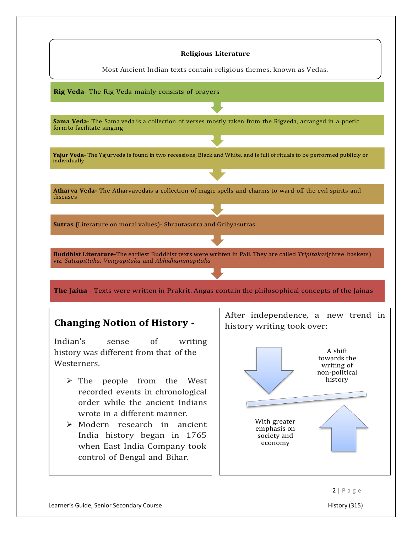